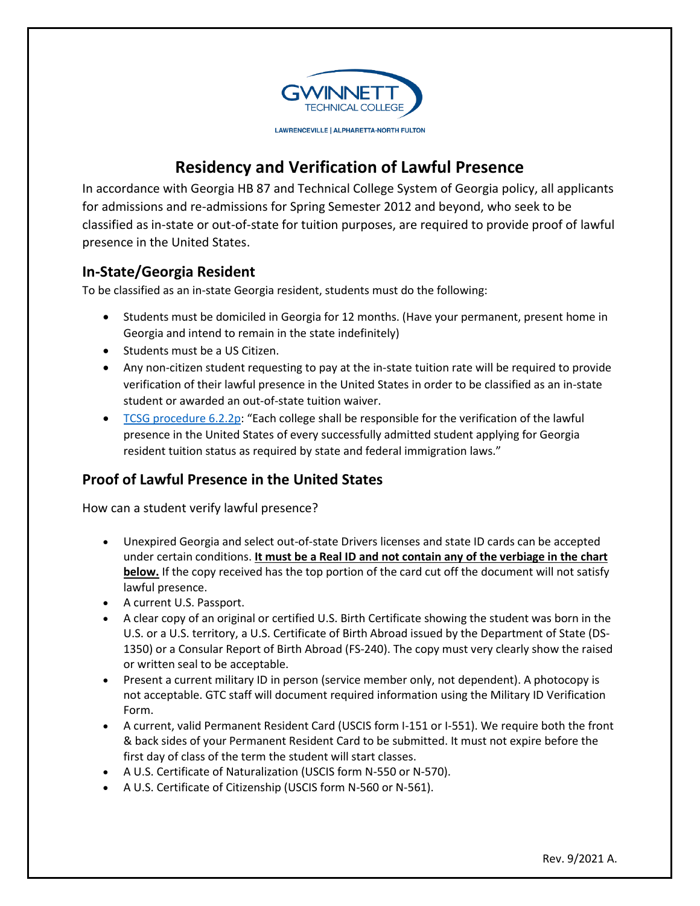

## **Residency and Verification of Lawful Presence**

 In accordance with Georgia HB 87 and Technical College System of Georgia policy, all applicants for admissions and re-admissions for Spring Semester 2012 and beyond, who seek to be classified as in-state or out-of-state for tuition purposes, are required to provide proof of lawful presence in the United States.

## **In-State/Georgia Resident**

To be classified as an in-state Georgia resident, students must do the following:

- Students must be domiciled in Georgia for 12 months. (Have your permanent, present home in Georgia and intend to remain in the state indefinitely)
- Students must be a US Citizen.
- Any non-citizen student requesting to pay at the in-state tuition rate will be required to provide verification of their lawful presence in the United States in order to be classified as an in-state student or awarded an out-of-state tuition waiver.
- TCSG procedure 6.2.2p: "Each college shall be responsible for the verification of the lawful presence in the United States of every successfully admitted student applying for Georgia resident tuition status as required by state and federal immigration laws."

## **Proof of Lawful Presence in the United States**

How can a student verify lawful presence?

- **below.** If the copy received has the top portion of the card cut off the document will not satisfy Unexpired Georgia and select out-of-state Drivers licenses and state ID cards can be accepted under certain conditions. **It must be a Real ID and not contain any of the verbiage in the chart**  lawful presence.
- A current U.S. Passport.
- A clear copy of an original or certified U.S. Birth Certificate showing the student was born in the U.S. or a U.S. territory, a U.S. Certificate of Birth Abroad issued by the Department of State (DS-1350) or a Consular Report of Birth Abroad (FS-240). The copy must very clearly show the raised or written seal to be acceptable.
- Present a current military ID in person (service member only, not dependent). A photocopy is not acceptable. GTC staff will document required information using the Military ID Verification Form.
- A current, valid Permanent Resident Card (USCIS form I-151 or I-551). We require both the front & back sides of your Permanent Resident Card to be submitted. It must not expire before the first day of class of the term the student will start classes.
- A U.S. Certificate of Naturalization (USCIS form N-550 or N-570).
- A U.S. Certificate of Citizenship (USCIS form N-560 or N-561).